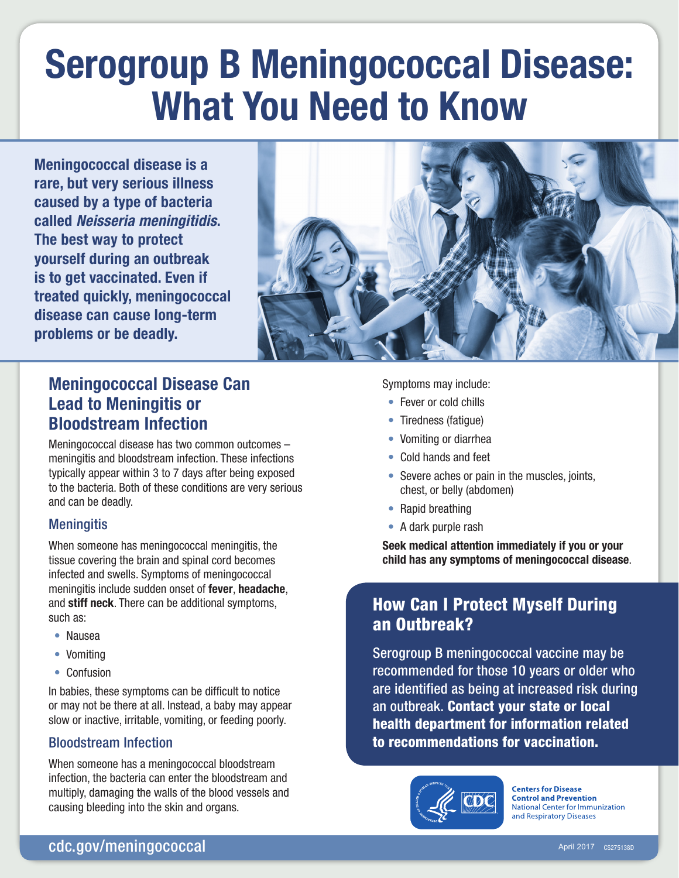# Serogroup B Meningococcal Disease: What You Need to Know

Meningococcal disease is a rare, but very serious illness caused by a type of bacteria called *Neisseria meningitidis*. The best way to protect yourself during an outbreak is to get vaccinated. Even if treated quickly, meningococcal disease can cause long-term problems or be deadly.



# Meningococcal Disease Can Lead to Meningitis or Bloodstream Infection

Meningococcal disease has two common outcomes – meningitis and bloodstream infection. These infections typically appear within 3 to 7 days after being exposed to the bacteria. Both of these conditions are very serious and can be deadly.

### **Meningitis**

When someone has meningococcal meningitis, the tissue covering the brain and spinal cord becomes infected and swells. Symptoms of meningococcal meningitis include sudden onset of fever, headache, and stiff neck. There can be additional symptoms, such as:

- Nausea
- Vomiting
- Confusion

In babies, these symptoms can be difficult to notice or may not be there at all. Instead, a baby may appear slow or inactive, irritable, vomiting, or feeding poorly.

### Bloodstream Infection

When someone has a meningococcal bloodstream infection, the bacteria can enter the bloodstream and multiply, damaging the walls of the blood vessels and causing bleeding into the skin and organs.

Symptoms may include:

- Fever or cold chills
- Tiredness (fatigue)
- Vomiting or diarrhea
- Cold hands and feet
- Severe aches or pain in the muscles, joints, chest, or belly (abdomen)
- Rapid breathing
- A dark purple rash

Seek medical attention immediately if you or your child has any symptoms of meningococcal disease.

## How Can I Protect Myself During an Outbreak?

Serogroup B meningococcal vaccine may be recommended for those 10 years or older who are identified as being at increased risk during an outbreak. Contact your state or local health department for information related to recommendations for vaccination.



**Centers for Disease Control and Prevention National Center for Immunization** and Respiratory Diseases